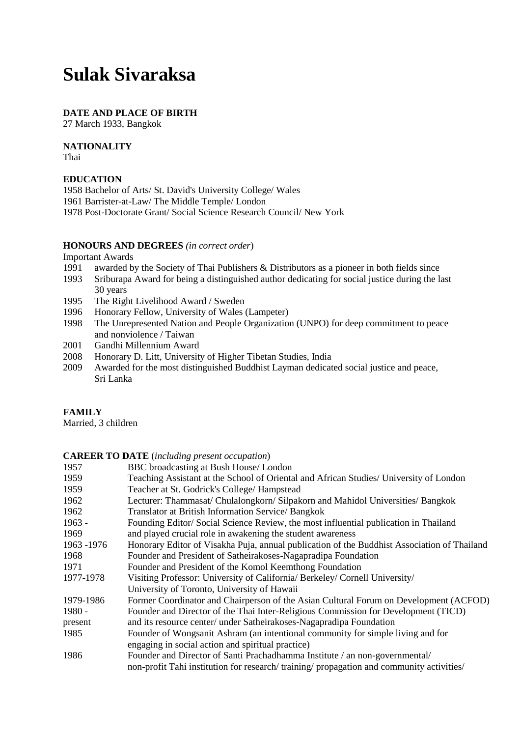# **Sulak Sivaraksa**

#### **DATE AND PLACE OF BIRTH**

27 March 1933, Bangkok

## **NATIONALITY**

Thai

#### **EDUCATION**

1958 Bachelor of Arts/ St. David's University College/ Wales 1961 Barrister-at-Law/ The Middle Temple/ London 1978 Post-Doctorate Grant/ Social Science Research Council/ New York

#### **HONOURS AND DEGREES** *(in correct order*)

Important Awards

- 1991 awarded by the Society of Thai Publishers & Distributors as a pioneer in both fields since
- 1993 Sriburapa Award for being a distinguished author dedicating for social justice during the last 30 years
- 1995 The Right Livelihood Award / Sweden
- 1996 Honorary Fellow, University of Wales (Lampeter)
- 1998 The Unrepresented Nation and People Organization (UNPO) for deep commitment to peace and nonviolence / Taiwan
- 2001 Gandhi Millennium Award
- 2008 Honorary D. Litt, University of Higher Tibetan Studies, India
- 2009 Awarded for the most distinguished Buddhist Layman dedicated social justice and peace, Sri Lanka

## **FAMILY**

Married, 3 children

#### **CAREER TO DATE** (*including present occupation*)

| 1957       | BBC broadcasting at Bush House/London                                                       |
|------------|---------------------------------------------------------------------------------------------|
| 1959       | Teaching Assistant at the School of Oriental and African Studies/ University of London      |
| 1959       | Teacher at St. Godrick's College/ Hampstead                                                 |
| 1962       | Lecturer: Thammasat/Chulalongkorn/Silpakorn and Mahidol Universities/Bangkok                |
| 1962       | Translator at British Information Service/ Bangkok                                          |
| $1963 -$   | Founding Editor/Social Science Review, the most influential publication in Thailand         |
| 1969       | and played crucial role in awakening the student awareness                                  |
| 1963 -1976 | Honorary Editor of Visakha Puja, annual publication of the Buddhist Association of Thailand |
| 1968       | Founder and President of Satheirakoses-Nagapradipa Foundation                               |
| 1971       | Founder and President of the Komol Keemthong Foundation                                     |
| 1977-1978  | Visiting Professor: University of California/ Berkeley/ Cornell University/                 |
|            | University of Toronto, University of Hawaii                                                 |
| 1979-1986  | Former Coordinator and Chairperson of the Asian Cultural Forum on Development (ACFOD)       |
| 1980 -     | Founder and Director of the Thai Inter-Religious Commission for Development (TICD)          |
| present    | and its resource center/ under Satheirakoses-Nagapradipa Foundation                         |
| 1985       | Founder of Wongsanit Ashram (an intentional community for simple living and for             |
|            | engaging in social action and spiritual practice)                                           |
| 1986       | Founder and Director of Santi Prachadhamma Institute / an non-governmental/                 |
|            | non-profit Tahi institution for research/training/propagation and community activities/     |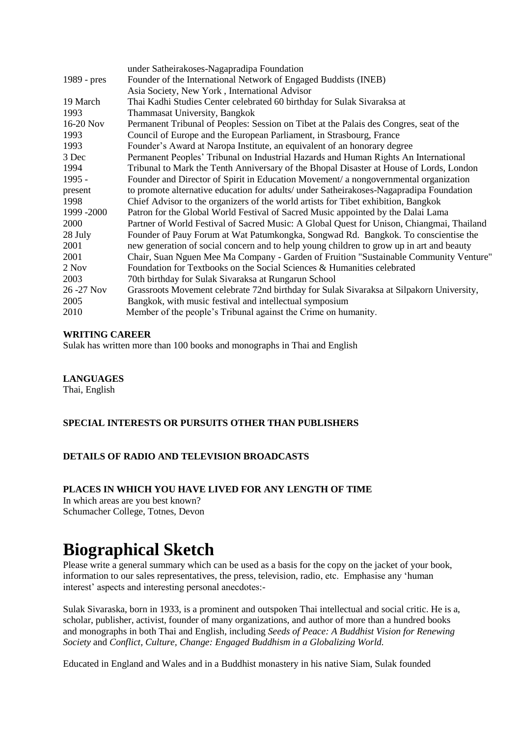| under Satheirakoses-Nagapradipa Foundation                                                |
|-------------------------------------------------------------------------------------------|
| Founder of the International Network of Engaged Buddists (INEB)                           |
| Asia Society, New York, International Advisor                                             |
| Thai Kadhi Studies Center celebrated 60 birthday for Sulak Sivaraksa at                   |
| Thammasat University, Bangkok                                                             |
| Permanent Tribunal of Peoples: Session on Tibet at the Palais des Congres, seat of the    |
| Council of Europe and the European Parliament, in Strasbourg, France                      |
| Founder's Award at Naropa Institute, an equivalent of an honorary degree                  |
| Permanent Peoples' Tribunal on Industrial Hazards and Human Rights An International       |
| Tribunal to Mark the Tenth Anniversary of the Bhopal Disaster at House of Lords, London   |
| Founder and Director of Spirit in Education Movement/ a nongovernmental organization      |
| to promote alternative education for adults/ under Satheirakoses-Nagapradipa Foundation   |
| Chief Advisor to the organizers of the world artists for Tibet exhibition, Bangkok        |
| Patron for the Global World Festival of Sacred Music appointed by the Dalai Lama          |
| Partner of World Festival of Sacred Music: A Global Quest for Unison, Chiangmai, Thailand |
| Founder of Pauy Forum at Wat Patumkongka, Songwad Rd. Bangkok. To conscientise the        |
| new generation of social concern and to help young children to grow up in art and beauty  |
| Chair, Suan Nguen Mee Ma Company - Garden of Fruition "Sustainable Community Venture"     |
| Foundation for Textbooks on the Social Sciences & Humanities celebrated                   |
| 70th birthday for Sulak Sivaraksa at Rungarun School                                      |
| Grassroots Movement celebrate 72nd birthday for Sulak Sivaraksa at Silpakorn University,  |
| Bangkok, with music festival and intellectual symposium                                   |
| Member of the people's Tribunal against the Crime on humanity.                            |
|                                                                                           |

#### **WRITING CAREER**

Sulak has written more than 100 books and monographs in Thai and English

## **LANGUAGES**

Thai, English

## **SPECIAL INTERESTS OR PURSUITS OTHER THAN PUBLISHERS**

## **DETAILS OF RADIO AND TELEVISION BROADCASTS**

#### **PLACES IN WHICH YOU HAVE LIVED FOR ANY LENGTH OF TIME**

In which areas are you best known? Schumacher College, Totnes, Devon

# **Biographical Sketch**

Please write a general summary which can be used as a basis for the copy on the jacket of your book, information to our sales representatives, the press, television, radio, etc. Emphasise any 'human interest' aspects and interesting personal anecdotes:-

Sulak Sivaraska, born in 1933, is a prominent and outspoken Thai intellectual and social critic. He is a, scholar, publisher, activist, founder of many organizations, and author of more than a hundred books and monographs in both Thai and English, including *Seeds of Peace: A Buddhist Vision for Renewing Society* and *Conflict, Culture, Change: Engaged Buddhism in a Globalizing World.*

Educated in England and Wales and in a Buddhist monastery in his native Siam, Sulak founded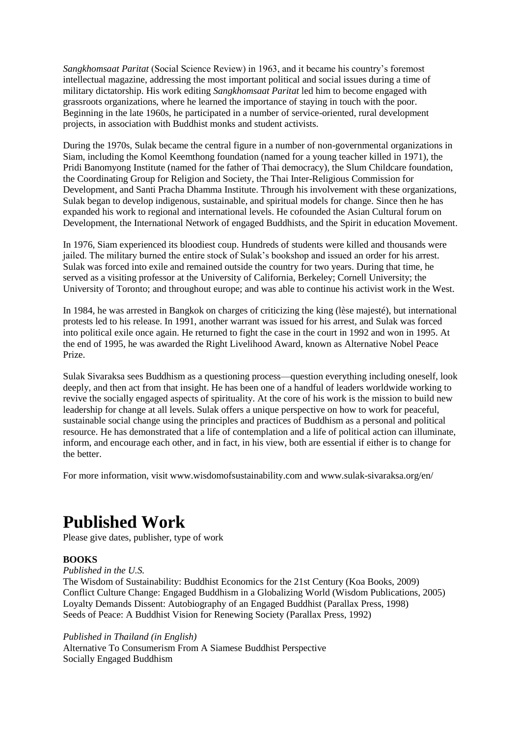*Sangkhomsaat Paritat* (Social Science Review) in 1963, and it became his country's foremost intellectual magazine, addressing the most important political and social issues during a time of military dictatorship. His work editing *Sangkhomsaat Paritat* led him to become engaged with grassroots organizations, where he learned the importance of staying in touch with the poor. Beginning in the late 1960s, he participated in a number of service-oriented, rural development projects, in association with Buddhist monks and student activists.

During the 1970s, Sulak became the central figure in a number of non-governmental organizations in Siam, including the Komol Keemthong foundation (named for a young teacher killed in 1971), the Pridi Banomyong Institute (named for the father of Thai democracy), the Slum Childcare foundation, the Coordinating Group for Religion and Society, the Thai Inter-Religious Commission for Development, and Santi Pracha Dhamma Institute. Through his involvement with these organizations, Sulak began to develop indigenous, sustainable, and spiritual models for change. Since then he has expanded his work to regional and international levels. He cofounded the Asian Cultural forum on Development, the International Network of engaged Buddhists, and the Spirit in education Movement.

In 1976, Siam experienced its bloodiest coup. Hundreds of students were killed and thousands were jailed. The military burned the entire stock of Sulak's bookshop and issued an order for his arrest. Sulak was forced into exile and remained outside the country for two years. During that time, he served as a visiting professor at the University of California, Berkeley; Cornell University; the University of Toronto; and throughout europe; and was able to continue his activist work in the West.

In 1984, he was arrested in Bangkok on charges of criticizing the king (lèse majesté), but international protests led to his release. In 1991, another warrant was issued for his arrest, and Sulak was forced into political exile once again. He returned to fight the case in the court in 1992 and won in 1995. At the end of 1995, he was awarded the Right Livelihood Award, known as Alternative Nobel Peace Prize.

Sulak Sivaraksa sees Buddhism as a questioning process—question everything including oneself, look deeply, and then act from that insight. He has been one of a handful of leaders worldwide working to revive the socially engaged aspects of spirituality. At the core of his work is the mission to build new leadership for change at all levels. Sulak offers a unique perspective on how to work for peaceful, sustainable social change using the principles and practices of Buddhism as a personal and political resource. He has demonstrated that a life of contemplation and a life of political action can illuminate, inform, and encourage each other, and in fact, in his view, both are essential if either is to change for the better.

For more information, visit www.wisdomofsustainability.com and www.sulak-sivaraksa.org/en/

# **Published Work**

Please give dates, publisher, type of work

## **BOOKS**

*Published in the U.S.*

The Wisdom of Sustainability: Buddhist Economics for the 21st Century (Koa Books, 2009) Conflict Culture Change: Engaged Buddhism in a Globalizing World (Wisdom Publications, 2005) Loyalty Demands Dissent: Autobiography of an Engaged Buddhist (Parallax Press, 1998) Seeds of Peace: A Buddhist Vision for Renewing Society (Parallax Press, 1992)

#### *Published in Thailand (in English)*

Alternative To Consumerism From A Siamese Buddhist Perspective Socially Engaged Buddhism